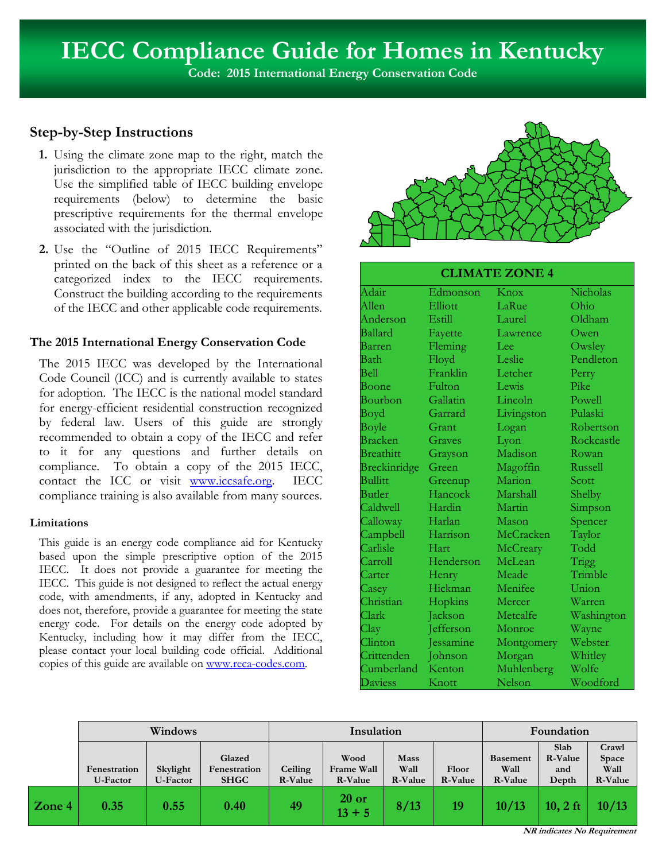**Code: 2015 International Energy Conservation Code**

# **Step-by-Step Instructions**

- **1.** Using the climate zone map to the right, match the jurisdiction to the appropriate IECC climate zone. Use the simplified table of IECC building envelope requirements (below) to determine the basic prescriptive requirements for the thermal envelope associated with the jurisdiction.
- **2.** Use the "Outline of 2015 IECC Requirements" printed on the back of this sheet as a reference or a categorized index to the IECC requirements. Construct the building according to the requirements of the IECC and other applicable code requirements.

# **The 2015 International Energy Conservation Code**

The 2015 IECC was developed by the International Code Council (ICC) and is currently available to states for adoption. The IECC is the national model standard for energy-efficient residential construction recognized by federal law. Users of this guide are strongly recommended to obtain a copy of the IECC and refer to it for any questions and further details on compliance. To obtain a copy of the 2015 IECC, contact the ICC or visit www.iccsafe.org. IECC compliance training is also available from many sources.

# **Limitations**

This guide is an energy code compliance aid for Kentucky based upon the simple prescriptive option of the 2015 IECC. It does not provide a guarantee for meeting the IECC. This guide is not designed to reflect the actual energy code, with amendments, if any, adopted in Kentucky and does not, therefore, provide a guarantee for meeting the state energy code. For details on the energy code adopted by Kentucky, including how it may differ from the IECC, please contact your local building code official. Additional copies of this guide are available on www.reca-codes.com.



# **CLIMATE ZONE 4**

| Adair            | Edmonson  | Knox       | Nicholas   |  |
|------------------|-----------|------------|------------|--|
| Allen            | Elliott   | LaRue      | Ohio       |  |
| Anderson         | Estill    | Laurel     | Oldham     |  |
| Ballard          | Fayette   | Lawrence   | Owen       |  |
| Barren           | Fleming   | Lee        | Owsley     |  |
| Bath             | Floyd     | Leslie     | Pendleton  |  |
| Bell             | Franklin  | Letcher    | Perry      |  |
| Boone            | Fulton    | Lewis      | Pike       |  |
| Bourbon          | Gallatin  | Lincoln    | Powell     |  |
| Boyd             | Garrard   | Livingston | Pulaski    |  |
| Boyle            | Grant     | Logan      | Robertson  |  |
| <b>Bracken</b>   | Graves    | Lyon       | Rockcastle |  |
| <b>Breathitt</b> | Grayson   | Madison    | Rowan      |  |
| Breckinridge     | Green     | Magoffin   | Russell    |  |
| <b>Bullitt</b>   | Greenup   | Marion     | Scott      |  |
| Butler           | Hancock   | Marshall   | Shelby     |  |
| Caldwell         | Hardin    | Martin     | Simpson    |  |
| Calloway         | Harlan    | Mason      | Spencer    |  |
| Campbell         | Harrison  | McCracken  | Taylor     |  |
| Carlisle         | Hart      | McCreary   | Todd       |  |
| Carroll          | Henderson | McLean     | Trigg      |  |
| Carter           | Henry     | Meade      | Trimble    |  |
| Casey            | Hickman   | Menifee    | Union      |  |
| Christian        | Hopkins   | Mercer     | Warren     |  |
| Clark            | Jackson   | Metcalfe   | Washington |  |
| Clay             | Jefferson | Monroe     | Wayne      |  |
| Clinton          | Jessamine | Montgomery | Webster    |  |
| Crittenden       | Johnson   | Morgan     | Whitley    |  |
| Cumberland       | Kenton    | Muhlenberg | Wolfe      |  |
| Daviess          | Knott     | Nelson     | Woodford   |  |

|        | Windows                  |                      |                                       | Insulation         |                               |                                | Foundation              |                                    |                                 |                                   |
|--------|--------------------------|----------------------|---------------------------------------|--------------------|-------------------------------|--------------------------------|-------------------------|------------------------------------|---------------------------------|-----------------------------------|
|        | Fenestration<br>U-Factor | Skylight<br>U-Factor | Glazed<br>Fenestration<br><b>SHGC</b> | Ceiling<br>R-Value | Wood<br>Frame Wall<br>R-Value | <b>Mass</b><br>Wall<br>R-Value | Floor<br><b>R-Value</b> | <b>Basement</b><br>Wall<br>R-Value | Slab<br>R-Value<br>and<br>Depth | Crawl<br>Space<br>Wall<br>R-Value |
| Zone 4 | 0.35                     | 0.55                 | 0.40                                  | 49                 | $20$ or<br>$13 + 5$           | 8/13                           | 19                      | 10/13                              | $10, 2$ ft                      | 10/13                             |

**NR indicates No Requirement**